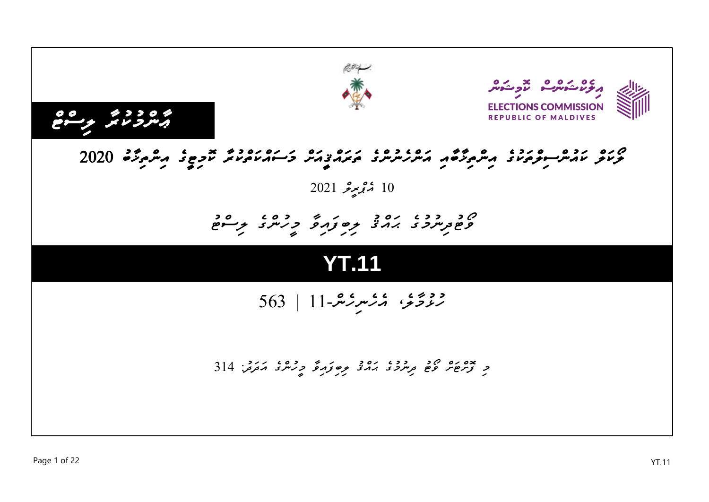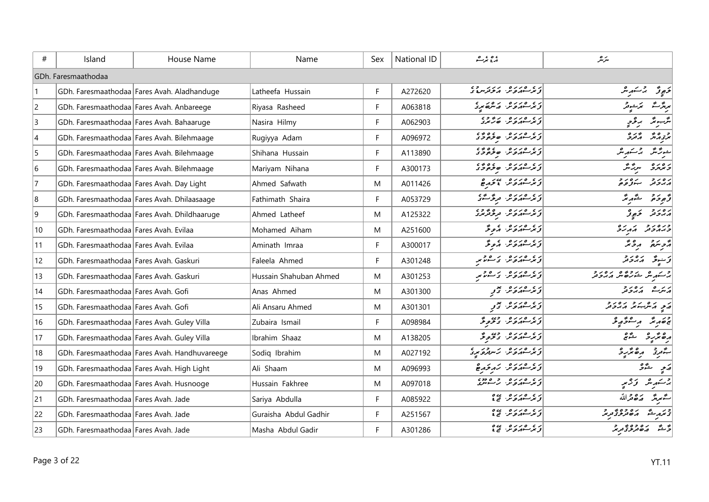| #               | Island                                    | House Name                                    | Name                   | Sex | National ID | ، ه ، بر <u>م</u>                                                                                                                                                                                                               | ىئرىتر                                               |
|-----------------|-------------------------------------------|-----------------------------------------------|------------------------|-----|-------------|---------------------------------------------------------------------------------------------------------------------------------------------------------------------------------------------------------------------------------|------------------------------------------------------|
|                 | GDh. Faresmaathodaa                       |                                               |                        |     |             |                                                                                                                                                                                                                                 |                                                      |
|                 |                                           | GDh. Faresmaathodaa Fares Avah. Aladhanduge   | Latheefa Hussain       | F   | A272620     | ر ، قرار و بر بر د ،                                                                                                                                                                                                            | كَمْ فِي تَرْسَمْ مِنْ                               |
| $\overline{2}$  |                                           | GDh. Faresmaathodaa Fares Avah. Anbareege     | Riyasa Rasheed         | F   | A063818     | ر ، ه د ره .<br>تو بر سهروش . هر شرحه برد                                                                                                                                                                                       | أبرور تكر المركبور                                   |
| 3               |                                           | GDh. Faresmaathodaa Fares Avah. Bahaaruge     | Nasira Hilmy           | F   | A062903     | ر ، ق د ره . د و ،<br>تو بر سهروش . گ ر برد                                                                                                                                                                                     | لترسبونتر<br>بروگو                                   |
| 4               |                                           | GDh. Faresmaathodaa Fares Avah. Bilehmaage    | Rugiyya Adam           | F   | A096972     | ק ז פקקים ו זי פיי בי זי בי זי בי זי בי די בי די בי די בי די בי די בי די בי די בי די בי די בי די בי די בי די ב<br>די בי די בי די בי די פיי די פיי בי די בי די בי די בי די בי די בי די בי די בי די בי די בי די בי די בי די בי די | پەر ە<br>مەنزۈ<br>  پرتز پر پژ                       |
| $\overline{5}$  |                                           | GDh. Faresmaathodaa Fares Avah. Bilehmaage    | Shihana Hussain        | F   | A113890     | ر ۽ ہ ر رہ ہے ہ د ۽<br>تو بر سهروس صوبوت                                                                                                                                                                                        | ئىنىڭ بىر ئەكەر بىر                                  |
| $6\overline{6}$ |                                           | GDh. Faresmaathodaa Fares Avah. Bilehmaage    | Mariyam Nihana         | F   | A300173     | ر ، ه د ره .<br>و بر سهرونر . گرموری                                                                                                                                                                                            | ره ره سرچینې                                         |
| $\overline{7}$  | GDh. Faresmaathodaa Fares Avah. Day Light |                                               | Ahmed Safwath          | M   | A011426     | ر ، قراره ، ، در ه                                                                                                                                                                                                              | بر ه ر د<br>م.رو تر<br>ر ده ر د                      |
| 8               |                                           | GDh. Faresmaathodaa Fares Avah. Dhilaasaage   | Fathimath Shaira       | F   | A053729     |                                                                                                                                                                                                                                 | ء مر د<br>ترجوحرم<br>شتەرىتر                         |
| 9               |                                           | GDh. Faresmaathodaa Fares Avah. Dhildhaaruge  | Ahmed Latheef          | M   | A125322     | ر ۽ ھ ر ر ھ<br>تي تر سه مرض - فرقر مري                                                                                                                                                                                          | برەر بە ئەبول                                        |
| 10              | GDh. Faresmaathodaa Fares Avah. Evilaa    |                                               | Mohamed Aiham          | M   | A251600     | ر ، قەررە ، ئاپارتى                                                                                                                                                                                                             | כממכנה הגמפ                                          |
| 11              | GDh. Faresmaathodaa Fares Avah. Evilaa    |                                               | Aminath Imraa          | F   | A300017     |                                                                                                                                                                                                                                 | أروسي اروند                                          |
| 12              | GDh. Faresmaathodaa Fares Avah. Gaskuri   |                                               | Faleela Ahmed          | F   | A301248     |                                                                                                                                                                                                                                 | كرسيدة المكانات                                      |
| 13              | GDh. Faresmaathodaa Fares Avah. Gaskuri   |                                               | Hussain Shahuban Ahmed | M   | A301253     | ر ، ق دره . د ق د                                                                                                                                                                                                               | و کرد شهر شوره بر در د<br>ایر کرد شوره شر از برای تر |
| 14              | GDh. Faresmaathodaa Fares Avah. Gofi      |                                               | Anas Ahmed             | M   | A301300     |                                                                                                                                                                                                                                 | أرسر شامره وروحه                                     |
| 15              | GDh. Faresmaathodaa Fares Avah. Gofi      |                                               | Ali Ansaru Ahmed       | M   | A301301     | ر ، ه ر ره . سي                                                                                                                                                                                                                 | أرو المستحير الملاحظ                                 |
| 16              |                                           | GDh. Faresmaathodaa Fares Avah. Guley Villa   | Zubaira Ismail         | F.  | A098984     | ر ، ەررە بەي ئە                                                                                                                                                                                                                 | أتمضم شر مشرقهم و                                    |
| 17              |                                           | GDh. Faresmaathodaa Fares Avah. Guley Villa   | Ibrahim Shaaz          | M   | A138205     | ر ، ەررە بەي بە<br>تىمەسىمەن ئىمى ئى                                                                                                                                                                                            | ە ھەترىر 2<br>س<br>ستدحج                             |
| 18              |                                           | GDh. Faresmaathodaa Fares Avah. Handhuvareege | Sodig Ibrahim          | M   | A027192     | ر ، ه د د ه . ز سرور . ،                                                                                                                                                                                                        | رگەرىۋ<br>سىگەرىقى<br>ىر ھەترىر <i>3</i>             |
| 19              |                                           | GDh. Faresmaathodaa Fares Avah. High Light    | Ali Shaam              | M   | A096993     | ويرتقبون كه وكه                                                                                                                                                                                                                 | پَرۡ پِنۡ ۡ وَ دُوَّ دَ                              |
| 20              |                                           | GDh. Faresmaathodaa Fares Avah. Husnooge      | Hussain Fakhree        | M   | A097018     | ر ، ەررە. جەمەد،<br>ئىرسىمبەر. رىسىس                                                                                                                                                                                            | يزحكر يحر وزعمير                                     |
| 21              | GDh. Faresmaathodaa Fares Avah. Jade      |                                               | Sariya Abdulla         | F.  | A085922     | ر ۽ ھربرھ بن ھ<br>تو تر سهرھ تر سمج                                                                                                                                                                                             | تحميرتم وكافدالله                                    |
| 22              | GDh. Faresmaathodaa Fares Avah. Jade      |                                               | Guraisha Abdul Gadhir  | F.  | A251567     | ر ۽ ھربرھ بن ھ<br>تو پڻ سهرھ س                                                                                                                                                                                                  | تي تر ديگر ديگر ديگر در تر ديگر بر                   |
| 23              | GDh. Faresmaathodaa Fares Avah. Jade      |                                               | Masha Abdul Gadir      | F.  | A301286     | ر ۽ ھير رھي.<br>تو بھر سون کي سي ج                                                                                                                                                                                              | ا د شده به ۱۵۶۵ و د و د ا                            |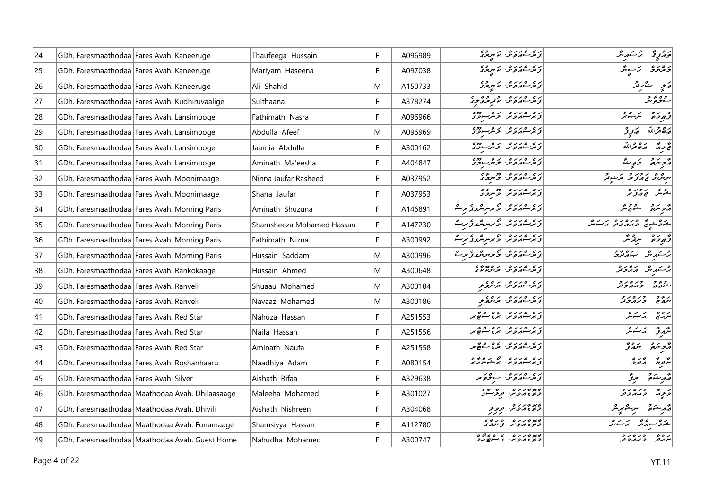| 24 |                                          | GDh. Faresmaathodaa Fares Avah. Kaneeruge       | Thaufeega Hussain         | F | A096989 | د ، ه دره. نمبربرد                                          | ە ئۇ ئەسىر ش                     |
|----|------------------------------------------|-------------------------------------------------|---------------------------|---|---------|-------------------------------------------------------------|----------------------------------|
| 25 |                                          | GDh. Faresmaathodaa Fares Avah. Kaneeruge       | Mariyam Haseena           | F | A097038 | ر ، ەررو. ئەسرىرى                                           | ر ه ر ه<br>د بربرگ               |
| 26 |                                          | GDh. Faresmaathodaa Fares Avah. Kaneeruge       | Ali Shahid                | M | A150733 | د ، قراره که ده                                             | أوسمج المتقربة                   |
| 27 |                                          | GDh. Faresmaathodaa Fares Avah. Kudhiruvaalige  | Sulthaana                 | F | A378274 | ر ، ۲۶٫۵ و و و ، ،<br>ژنگرستهری را توپروگری                 | <u>ره و پوځ</u>                  |
| 28 |                                          | GDh. Faresmaathodaa Fares Avah. Lansimooge      | Fathimath Nasra           | F | A096966 | د ، ه د د ه . ده . ده ،                                     | أقرموخرم الترسي محمد             |
| 29 |                                          | GDh. Faresmaathodaa Fares Avah. Lansimooge      | Abdulla Afeef             | M | A096969 | ر ، ۲۶۰۰ و ۵۶۰<br>تونگرسههای کورگرسوی                       | پر ۱۳۵۵ تری تر                   |
| 30 |                                          | GDh. Faresmaathodaa Fares Avah. Lansimooge      | Jaamia Abdulla            | F | A300162 | ر ، ەررە بەھەرە<br>ۋىرسىمەھىر بۇش بىرى                      | قح وقد الكاهر الله               |
| 31 |                                          | GDh. Faresmaathodaa Fares Avah. Lansimooge      | Aminath Ma'eesha          | F | A404847 | ر ، ۱٫۵ و ۵٫۰ و ،<br>ژنگرستهری بر کوشوری                    | أروسكم وكريث                     |
| 32 |                                          | GDh. Faresmaathodaa Fares Avah. Moonimaage      | Ninna Jaufar Rasheed      | F | A037952 | ו גם פינים ומודים.<br>ג'ולי הומים יודע ביותרים              | سرهر محمد و بر مرتبوتر           |
| 33 |                                          | GDh. Faresmaathodaa Fares Avah. Moonimaage      | Shana Jaufar              | F | A037953 | ן גם הגם במדינים<br>גודלי המדיני ביונדי                     | أحشر تمارو والمحمد               |
| 34 |                                          | GDh. Faresmaathodaa Fares Avah. Morning Paris   | Aminath Shuzuna           | F | A146891 | ر، قرار و. محمد سر محمد المحمد عليه                         | مەر ئىس ئىس ئىس ئىس              |
| 35 |                                          | GDh. Faresmaathodaa Fares Avah. Morning Paris   | Shamsheeza Mohamed Hassan | F | A147230 | ر ، ٥٠٠٥. كرير مرير مرير كرير مر                            | كالحواضية المردوح بمسكس          |
| 36 |                                          | GDh. Faresmaathodaa Fares Avah. Morning Paris   | Fathimath Nizna           | F | A300992 | ر ، و ، ، ، و . و پرسرش <u>د و بر</u> .                     | أوالمحركم والمراكد               |
| 37 |                                          | GDh. Faresmaathodaa Fares Avah. Morning Paris   | Hussain Saddam            | M | A300996 | ر، ۱۶۶۵ و مربع کرد کرد.                                     | بركتهر شركته والمحر              |
| 38 |                                          | GDh. Faresmaathodaa Fares Avah. Rankokaage      | Hussain Ahmed             | M | A300648 | ر ۽ פرره بره پروي<br>ژبر شهرونز برس لار                     | ج سکه شهر محمد حرار و            |
| 39 | GDh. Faresmaathodaa Fares Avah. Ranveli  |                                                 | Shuaau Mohamed            | M | A300184 |                                                             | و دوره در در د<br>شوره د بر دونر |
| 40 | GDh. Faresmaathodaa Fares Avah. Ranveli  |                                                 | Navaaz Mohamed            | M | A300186 | ر ، ەررە بەرە ،                                             | و ره ر و<br>تر پر ژمر<br>سرځ چ   |
| 41 | GDh. Faresmaathodaa Fares Avah. Red Star |                                                 | Nahuza Hassan             | F | A251553 | ر ، ەررە ، ، ە ە <i>»</i><br>زىرسى <i>ممى تى</i> بىرە سىھىم | سررج<br>برسەنىر                  |
| 42 | GDh. Faresmaathodaa Fares Avah. Red Star |                                                 | Naifa Hassan              | F | A251556 | ر ، ق دره ، ، ، ق ع                                         | شمەق ئەسكىلى                     |
| 43 | GDh. Faresmaathodaa Fares Avah. Red Star |                                                 | Aminath Naufa             | F | A251558 | ر ، ٥ ر ر ٥ ، ٥ ، ٥ ه ».                                    | أرمز تر<br>سترتز                 |
| 44 |                                          | GDh. Faresmaathodaa Fares Avah. Roshanhaaru     | Naadhiya Adam             | F | A080154 | ر ، ەررە مەرەپەر<br>ۋىرسىمەھىر ئىمىشەھەرىم                  | سَّرْمَر جَمَّدَة و              |
| 45 | GDh. Faresmaathodaa Fares Avah. Silver   |                                                 | Aishath Rifaa             | F | A329638 | ر ، ق د د ه .<br>تو بر سهم تو ش  سوتو بر                    | وگهرڪنو بروگر                    |
| 46 |                                          | GDh. Faresmaathodaa Maathodaa Avah. Dhilaasaage | Maleeha Mohamed           | F | A301027 | ەيدەررە برۇپ<br>جەدەرەر برۇسى                               | و دره دره د                      |
| 47 |                                          | GDh. Faresmaathodaa Maathodaa Avah. Dhivili     | Aishath Nishreen          | F | A304068 | ہر در در<br>1931ء میں مروم                                  | گەرشەر سرشىرىگ                   |
| 48 |                                          | GDh. Faresmaathodaa Maathodaa Avah. Funamaage   | Shamsiyya Hassan          | F | A112780 | מממנגם - כנמש<br>כם 2 מפיני ציינביב                         | شكى ئىسى ئەسكىش                  |
| 49 |                                          | GDh. Faresmaathodaa Maathodaa Avah. Guest Home  | Nahudha Mohamed           | F | A300747 |                                                             | ر و در در د<br>سربرگر او بر مرکز |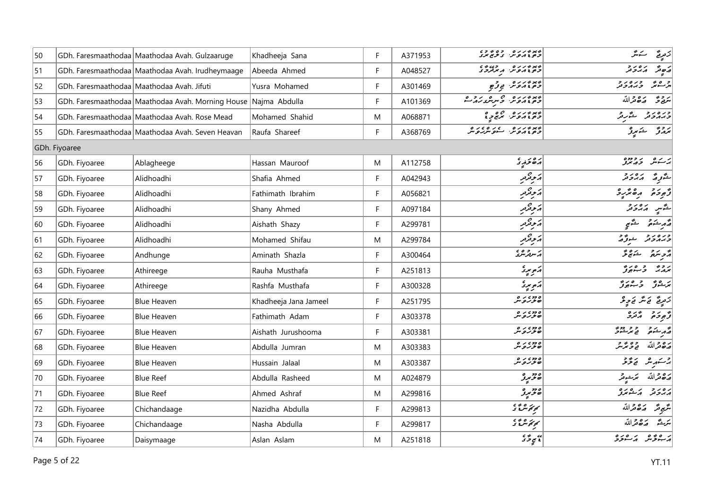| 50 |               | GDh. Faresmaathodaa Maathodaa Avah. Gulzaaruge    | Khadheeja Sana        | F         | A371953 |                                         | سەنگە<br>ئرَمْرِيَّخْ<br>مستق                |
|----|---------------|---------------------------------------------------|-----------------------|-----------|---------|-----------------------------------------|----------------------------------------------|
| 51 |               | GDh. Faresmaathodaa Maathodaa Avah. Irudheymaage  | Abeeda Ahmed          | F.        | A048527 | שמשממה - 2007<br>בתצומפית: וממטבצ       | ەقبە<br>بر 2 ر ح<br>مرکز قر                  |
| 52 |               | GDh. Faresmaathodaa Maathodaa Avah. Jifuti        | Yusra Mohamed         | F.        | A301469 | ويدور ره.<br>د و ډ مرمر د بي ترج        | و ره ر و<br>تر <i>د</i> گر<br>ېر شه پر       |
| 53 |               | GDh. Faresmaathodaa Maathodaa Avah. Morning House | Najma Abdulla         | F.        | A101369 | ويدوروه وسعد ورقم                       | سرو پی<br>مەھىراللە                          |
| 54 |               | GDh. Faresmaathodaa Maathodaa Avah. Rose Mead     | Mohamed Shahid        | M         | A068871 |                                         | و ر ه ر د<br>تر پر تر تر<br>ستەر تەر         |
| 55 |               | GDh. Faresmaathodaa Maathodaa Avah. Seven Heavan  | Raufa Shareef         | F         | A368769 | په پر ره ده ده ده ده<br>ژون مرو سوس و س | برويح<br>شەمرى                               |
|    | GDh. Fiyoaree |                                                   |                       |           |         |                                         |                                              |
| 56 | GDh. Fiyoaree | Ablagheege                                        | Hassan Mauroof        | ${\sf M}$ | A112758 | پەھ ئەزكى                               | برَسەپىر<br>ر و دوه<br>تر پر تر              |
| 57 | GDh. Fiyoaree | Alidhoadhi                                        | Shafia Ahmed          | F         | A042943 | بروثرمر                                 | ڪُورُ<br>پرور و                              |
| 58 | GDh. Fiyoaree | Alidhoadhi                                        | Fathimath Ibrahim     | F         | A056821 | بروترمر                                 | وٌمورَم<br>ەرھەترىر <sup>ى</sup>             |
| 59 | GDh. Fiyoaree | Alidhoadhi                                        | Shany Ahmed           | F.        | A097184 | پر چونور<br>پر تونور                    | ے سر کرے تر<br>مقام <i>د</i>                 |
| 60 | GDh. Fiyoaree | Alidhoadhi                                        | Aishath Shazy         | F         | A299781 | بروترمر                                 | و مرکب در<br>مرکب مشکور<br>ستنگمي            |
| 61 | GDh. Fiyoaree | Alidhoadhi                                        | Mohamed Shifau        | M         | A299784 | ر وژمر                                  | ورەر دېم شوگړ                                |
| 62 | GDh. Fiyoaree | Andhunge                                          | Aminath Shazla        | F         | A300464 | بر سرچره پر                             | د سره شوه و                                  |
| 63 | GDh. Fiyoaree | Athireege                                         | Rauha Musthafa        | F         | A251813 | ړ<br>مرموسونه                           | بروي<br>د په دیږ                             |
| 64 | GDh. Fiyoaree | Athireege                                         | Rashfa Musthafa       | F.        | A300328 | <br>  مرموسور                           | ح ب م بر مح<br>حر ب بدوگر<br>ىزىشۇ ئە        |
| 65 | GDh. Fiyoaree | <b>Blue Heaven</b>                                | Khadheeja Jana Jameel | F         | A251795 | ه دو ، ر ه<br><i>ه مور و</i> س          | زَمِرِةً ۖ يَ سُّ يَ وِ وُ                   |
| 66 | GDh. Fiyoaree | <b>Blue Heaven</b>                                | Fathimath Adam        | F.        | A303378 | ه دو ، ر ه<br><i>ه مور و</i> س          | و د وره                                      |
| 67 | GDh. Fiyoaree | <b>Blue Heaven</b>                                | Aishath Jurushooma    | F         | A303381 | ه دد پ ر<br>ح <i>ور و</i> س             |                                              |
| 68 | GDh. Fiyoaree | <b>Blue Heaven</b>                                | Abdulla Jumran        | M         | A303383 | ه دد › ر ه<br>ح تر ر عر                 | برە ترالله<br>و ه عر تر<br>بح تر سر          |
| 69 | GDh. Fiyoaree | <b>Blue Heaven</b>                                | Hussain Jalaal        | M         | A303387 | ه دد د ره<br><i>ه ور</i> و س            | برسكر سيمتز                                  |
| 70 | GDh. Fiyoaree | <b>Blue Reef</b>                                  | Abdulla Rasheed       | M         | A024879 | ه دو په و<br>حوم پرو                    | رەقمەللە ئىرىسوتر                            |
| 71 | GDh. Fiyoaree | <b>Blue Reef</b>                                  | Ahmed Ashraf          | M         | A299816 | ە دىنجە ئە                              | ره رو بر دره ده                              |
| 72 | GDh. Fiyoaree | Chichandaage                                      | Nazidha Abdulla       | F.        | A299813 | ىمە ئەرەپ                               | س <i>ُرْبِعِ مَّذَّ مَدَّهُ مِّدَ</i> اللَّه |
| 73 | GDh. Fiyoaree | Chichandaage                                      | Nasha Abdulla         | F         | A299817 | ى ئەھمىرى ئ                             | سَرِيْتُمْ صَرْهُ قَرْاللّهِ                 |
| 74 | GDh. Fiyoaree | Daisymaage                                        | Aslan Aslam           | M         | A251818 | پر پر دی<br>  پاسم پیونز <sub>ک</sub>   | برجۇش برجىزە                                 |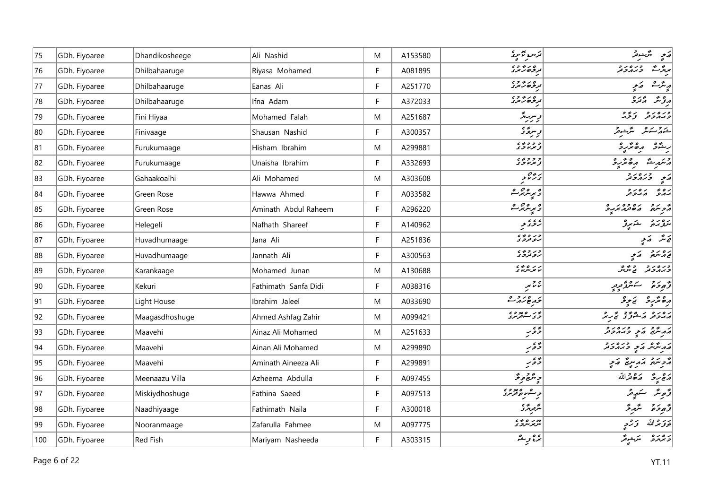| 75  | GDh. Fiyoaree | Dhandikosheege | Ali Nashid           | M  | A153580 | انگرسو ت <sup>یو</sup> بر <sub>ئ</sub> ے<br>م | ړي پر شوند<br>دي سرشوند<br>برچر وره  |
|-----|---------------|----------------|----------------------|----|---------|-----------------------------------------------|--------------------------------------|
| 76  | GDh. Fiyoaree | Dhilbahaaruge  | Riyasa Mohamed       | F. | A081895 | ه در ۶ و ۷<br>درمر <i>ه ر</i> برد             | و ر ه ر د<br>تر پر ژ تر              |
| 77  | GDh. Fiyoaree | Dhilbahaaruge  | Eanas Ali            | F  | A251770 | و در ۶ و ۷<br>درمر <i>ه ر</i> بر <sub>ک</sub> | بریژے پڑے                            |
| 78  | GDh. Fiyoaree | Dhilbahaaruge  | Ifna Adam            | F  | A372033 | و د بر و د<br>ترنژه ر بو د                    | أروش أدره                            |
| 79  | GDh. Fiyoaree | Fini Hiyaa     | Mohamed Falah        | M  | A251687 | و سربر پژ<br>مرس                              | ورەر دىرو                            |
| 80  | GDh. Fiyoaree | Finivaage      | Shausan Nashid       | F  | A300357 | وسرچء                                         | ىشكەر كىشى ئىشى ئىشى ئىش             |
| 81  | GDh. Fiyoaree | Furukumaage    | Hisham Ibrahim       | M  | A299881 | د د د د »<br>تو بر ر د د                      | برشكى رەھترىرى                       |
| 82  | GDh. Fiyoaree | Furukumaage    | Unaisha Ibrahim      | F. | A332693 | د د د د »<br>تو بو با و د                     |                                      |
| 83  | GDh. Fiyoaree | Gahaakoalhi    | Ali Mohamed          | M  | A303608 | ر صحيحه به                                    | أصو وره رو                           |
| 84  | GDh. Fiyoaree | Green Rose     | Hawwa Ahmed          | F  | A033582 | ە بېرىترىگە<br>ئ                              | $5.001$ $301$                        |
| 85  | GDh. Fiyoaree | Green Rose     | Aminath Abdul Raheem | F. | A296220 | ە بېرىترىگە<br>ئ                              | הכתב הסינה בק                        |
| 86  | GDh. Fiyoaree | Helegeli       | Nafhath Shareef      | F  | A140962 | إروءير                                        | برە بەھ ئىقلىرى                      |
| 87  | GDh. Fiyoaree | Huvadhumaage   | Jana Ali             | F  | A251836 | و ر و » ،<br>ره ترو د                         | لتمش مكمج                            |
| 88  | GDh. Fiyoaree | Huvadhumaage   | Jannath Ali          | F  | A300563 | و ر و د  ،<br>روىرو  ړ                        | رە روپە ئە                           |
| 89  | GDh. Fiyoaree | Karankaage     | Mohamed Junan        | M  | A130688 | ر ر ه و د ،<br>ما بر سرد د                    | ورەرو وغر                            |
| 90  | GDh. Fiyoaree | Kekuri         | Fathimath Sanfa Didi | F  | A038316 | اءتمع                                         | ر<br>توجود كار مستوسي                |
| 91  | GDh. Fiyoaree | Light House    | Ibrahim Jaleel       | M  | A033690 | خهر قاراز م                                   | $396 - 310$                          |
| 92  | GDh. Fiyoaree | Maagasdhoshuge | Ahmed Ashfaq Zahir   | M  | A099421 | بر رحس و د<br>تر که سه تر مرک                 | ره رو در ۶۵۰۵ پرس<br>دروند دشتوری نم |
| 93  | GDh. Fiyoaree | Maavehi        | Ainaz Ali Mohamed    | M  | A251633 | څوکر                                          | התיישה ה'ב בגורבת                    |
| 94  | GDh. Fiyoaree | Maavehi        | Ainan Ali Mohamed    | M  | A299890 | رحمح سبب                                      |                                      |
| 95  | GDh. Fiyoaree | Maavehi        | Aminath Aineeza Ali  | F  | A299891 | د ځو سه                                       | أأدخر المتوسية أأوالمحمد             |
| 96  | GDh. Fiyoaree | Meenaazu Villa | Azheema Abdulla      | F  | A097455 | ح پٽڻ عرقر                                    | أترجمية التقاقدالله                  |
| 97  | GDh. Fiyoaree | Miskiydhoshuge | Fathina Saeed        | F  | A097513 | د مشروع و د د ه<br>بر مشروع ترمزد             | ۇمونىڭ سىمپىتر                       |
| 98  | GDh. Fiyoaree | Naadhiyaage    | Fathimath Naila      | F. | A300018 | شوروسر<br>سرگوروزی                            | و بر د<br>اقراموخرمو<br>سَمْدِ مَحْر |
| 99  | GDh. Fiyoaree | Nooranmaage    | Zafarulla Fahmee     | M  | A097775 | دور ه د »<br>سرپرسرچر                         | يرىر چرالله<br>ترترمي                |
| 100 | GDh. Fiyoaree | Red Fish       | Mariyam Nasheeda     | F  | A303315 | ىر؟ بوىشە                                     | كرەرە سكىشىڭى                        |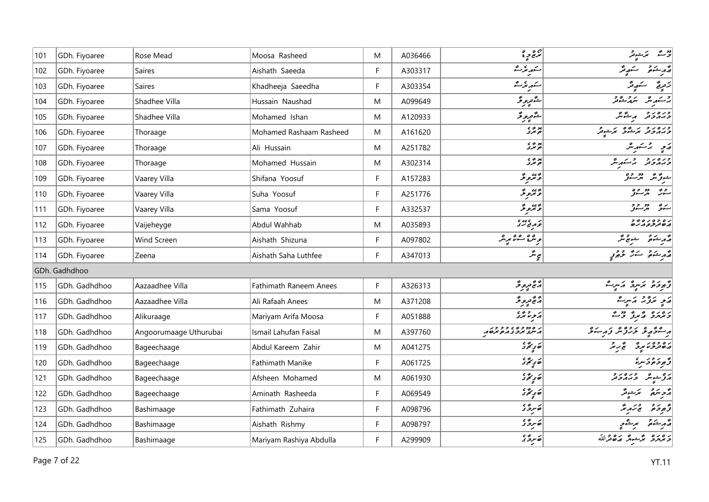| 101 | GDh. Fiyoaree | Rose Mead              | Moosa Rasheed                 | M  | A036466 | 0 ه ج ح و ۹<br>مربع ح و ۹                                   | وو محر سي مرکز ديگر<br>حراستگاه سيمون                    |
|-----|---------------|------------------------|-------------------------------|----|---------|-------------------------------------------------------------|----------------------------------------------------------|
| 102 | GDh. Fiyoaree | <b>Saires</b>          | Aishath Saeeda                | F  | A303317 | سىدىرى                                                      | ة مرشوقر سنورتر<br>أن مرشوقر سنورتر<br>أن من سنورتر      |
| 103 | GDh. Fiyoaree | <b>Saires</b>          | Khadheeja Saeedha             | F. | A303354 | سەربۇر                                                      |                                                          |
| 104 | GDh. Fiyoaree | Shadhee Villa          | Hussain Naushad               | M  | A099649 | ىشەد <sub>ىرى ق</sub> ۇ                                     | ج کور سی سرچ دی دی.<br>بر کور س                          |
| 105 | GDh. Fiyoaree | Shadhee Villa          | Mohamed Ishan                 | M  | A120933 | ڪ <sup>ي</sup> ور <i>و</i> گر                               | ورەرو مىشىر                                              |
| 106 | GDh. Fiyoaree | Thoraage               | Mohamed Rashaam Rasheed       | M  | A161620 | برنو ۽<br>حويمري                                            | ورەرو رەۋە كەندى                                         |
| 107 | GDh. Fiyoaree | Thoraage               | Ali Hussain                   | M  | A251782 | پو پر<br>حويمري                                             | ە ئەسەر                                                  |
| 108 | GDh. Fiyoaree | Thoraage               | Mohamed Hussain               | M  | A302314 | پر دی<br>حو پر ی                                            | ورەرو ورىدىگ                                             |
| 109 | GDh. Fiyoaree | Vaarey Villa           | Shifana Yoosuf                | F  | A157283 | و پر <sub>جو</sub> محر                                      | ىسو <i>ۋىتر بىر دو</i>                                   |
| 110 | GDh. Fiyoaree | Vaarey Villa           | Suha Yoosuf                   | F. | A251776 | ە ،،<br>قەنىزە بەش                                          | يە ئەستەر ج                                              |
| 111 | GDh. Fiyoaree | Vaarey Villa           | Sama Yoosuf                   | F. | A332537 | ە يە<br>قەنىزە بەش                                          | سەۋە بۇرسۇ                                               |
| 112 | GDh. Fiyoaree | Vaijeheyge             | Abdul Wahhab                  | M  | A035893 | <br> عەدى رى                                                | ر ه و ه ر ه د و<br>پر ه تر تر ه ر ه                      |
| 113 | GDh. Fiyoaree | Wind Screen            | Aishath Shizuna               | F  | A097802 | ا <sub>عر</sub> مو <sup>ء</sup> مشرع ہو ببر<br>سر           | ۇرمۇم مىر                                                |
| 114 | GDh. Fiyoaree | Zeena                  | Aishath Saha Luthfee          | F  | A347013 | ىپەتتر                                                      | و د شوه د سر د و و د                                     |
|     | GDh. Gadhdhoo |                        |                               |    |         |                                                             |                                                          |
| 115 | GDh. Gadhdhoo | Aazaadhee Villa        | <b>Fathimath Raneem Anees</b> | F  | A326313 | ترځ <sub>مرح</sub> و څه<br>                                 | و و دو برسره پرسره<br>دیوده برسره پرس<br>پرسر بردی پرسره |
| 116 | GDh. Gadhdhoo | Aazaadhee Villa        | Ali Rafaah Anees              | M  | A371208 | <br> د ځ مړه څ                                              |                                                          |
| 117 | GDh. Gadhdhoo | Alikuraage             | Mariyam Arifa Moosa           | F. | A051888 | پر ويږي                                                     |                                                          |
| 118 | GDh. Gadhdhoo | Angoorumaage Uthurubai | Ismail Lahufan Faisal         | M  | A397760 | د ۵ ده و د ۶ د و وړ.<br>د سر <sub>ک</sub> مرح د ده و مرحه د | ر ھۇر ئەرزىرى زىر بىر                                    |
| 119 | GDh. Gadhdhoo | Bageechaage            | Abdul Kareem Zahir            | M  | A041275 | ے پر پڑے<br> ص پر پڑی                                       | גם בפי תב הבת                                            |
| 120 | GDh. Gadhdhoo | Bageechaage            | Fathimath Manike              | F  | A061725 | ے پر پر ہ<br>م                                              | ۇ بو ئەمۇ ئەرى <sup>ئ</sup> ا                            |
| 121 | GDh. Gadhdhoo | Bageechaage            | Afsheen Mohamed               | M  | A061930 | ے پر پر ہ<br>م                                              | ره شیش وره رو<br>مرکب و در دولر                          |
| 122 | GDh. Gadhdhoo | Bageechaage            | Aminath Rasheeda              | F  | A069549 | ے پر پڑی<br> صح پہ                                          | أأترسكم تمشوش                                            |
| 123 | GDh. Gadhdhoo | Bashimaage             | Fathimath Zuhaira             | F  | A098796 | ئەبرىژ ئە                                                   | قهوخوه تمنه يحمد                                         |
| 124 | GDh. Gadhdhoo | Bashimaage             | Aishath Rishmy                | F  | A098797 | <br> خامرچری                                                | أقهر مشوقر المرمشوح                                      |
| 125 | GDh. Gadhdhoo | Bashimaage             | Mariyam Rashiya Abdulla       | F  | A299909 | ر<br>ئەبرىرى                                                | رەرە ئرىدۇ رەۋللە                                        |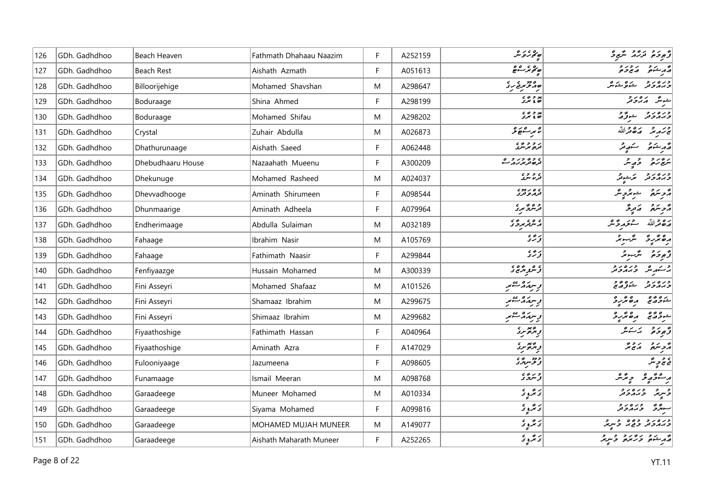| 126 | GDh. Gadhdhoo | Beach Heaven      | Fathmath Dhahaau Naazim | F.          | A252159 | <br> حو تر عر مر                                 | أزجوحه ورءد شيء                                   |
|-----|---------------|-------------------|-------------------------|-------------|---------|--------------------------------------------------|---------------------------------------------------|
| 127 | GDh. Gadhdhoo | <b>Beach Rest</b> | Aishath Azmath          | F           | A051613 | <br>  مى تەرىب ھ                                 |                                                   |
| 128 | GDh. Gadhdhoo | Billoorijehige    | Mohamed Shavshan        | M           | A298647 | ە دومبر ئەرى<br>مەمگە ئىرى                       | ورەرو بەھىشەر                                     |
| 129 | GDh. Gadhdhoo | Boduraage         | Shina Ahmed             | F           | A298199 | پر و پر د<br>ن عرد                               | ا شوند كه بر 2 در د<br>مر                         |
| 130 | GDh. Gadhdhoo | Boduraage         | Mohamed Shifau          | M           | A298202 | پر و دی<br>ن و بر ی                              | ورەرو ئىدۇر                                       |
| 131 | GDh. Gadhdhoo | Crystal           | Zuhair Abdulla          | M           | A026873 | م <sub>ىرى</sub> مىسى<br>                        | يح ترمر يحر مركا وترالله                          |
| 132 | GDh. Gadhdhoo | Dhathurunaage     | Aishath Saeed           | F           | A062448 | ر و و د د<br>تره مرس                             | أقهر شدة والشرقر                                  |
| 133 | GDh. Gadhdhoo | Dhebudhaaru House | Nazaahath Mueenu        | F           | A300209 | <sup>ے وی</sup> ور و ہ<br>ت <i>رہ تر پر ر</i> پر | برورد در شر                                       |
| 134 | GDh. Gadhdhoo | Dhekunuge         | Mohamed Rasheed         | M           | A024037 | ے ج ج ے<br>تور مسری                              | ورەرو كەنبەتى                                     |
| 135 | GDh. Gadhdhoo | Dhevvadhooge      | Aminath Shirumeen       | F           | A098544 | ے ہ ر دو ے<br>توبرے توبی                         | ے پر <i>چہ</i> پر<br>ړ ځې سرچ                     |
| 136 | GDh. Gadhdhoo | Dhunmaarige       | Aminath Adheela         | F           | A079964 | و ۵ پر پر<br>تر سربر <sub>محر</sub> بر           | ړٌ پر سَرَ پَهِ پَر پَر پَر                       |
| 137 | GDh. Gadhdhoo | Endherimaage      | Abdulla Sulaiman        | M           | A032189 | <sup>ى</sup> مەقرىر ئ <sup>ى</sup> ئ             | سەئىر بەر ئ <sup>ە</sup> بىر<br>برە واللّه        |
| 138 | GDh. Gadhdhoo | Fahaage           | Ibrahim Nasir           | M           | A105769 | ر و ،<br>ترگ                                     | ىئرىبەنز<br>ەرھەترىر <sup>ى</sup>                 |
| 139 | GDh. Gadhdhoo | Fahaage           | Fathimath Naasir        | F           | A299844 | ر و ،<br>توگری                                   | توجوخو الترسونر                                   |
| 140 | GDh. Gadhdhoo | Fenfiyaazge       | Hussain Mohamed         | M           | A300339 | ې هروگړي<br>د سروگري                             | جر شهر شده در در د                                |
| 141 | GDh. Gadhdhoo | Fini Asseyri      | Mohamed Shafaaz         | M           | A101526 | وببرند كرهيجير                                   | و ره ر د<br>تر پر تر تر<br>ے وہ بر د<br>مشتوکہ مح |
| 142 | GDh. Gadhdhoo | Fini Asseyri      | Shamaaz Ibrahim         | M           | A299675 | و سرند <sub>م</sub> ی میمو                       | $5\frac{20}{100}$                                 |
| 143 | GDh. Gadhdhoo | Fini Asseyri      | Shimaaz Ibrahim         | M           | A299682 | ار سده مشعبه<br>په سده مشعبه                     | شوڅوړنځ<br>ەرھەترىر <sup>9</sup>                  |
| 144 | GDh. Gadhdhoo | Fiyaathoshige     | Fathimath Hassan        | F           | A040964 | و پر پر ۽<br>پر مربوبر                           | برسەھە<br>ۇ بوزىر                                 |
| 145 | GDh. Gadhdhoo | Fiyaathoshige     | Aminath Azra            | F           | A147029 | وپڑ پیوے                                         | أروسم<br>ر بر حری                                 |
| 146 | GDh. Gadhdhoo | Fulooniyaage      | Jazumeena               | $\mathsf F$ | A098605 | د دو.<br>ز څرسرمر <sub>ک</sub>                   | ې د په گر<br>مح مح مگر                            |
| 147 | GDh. Gadhdhoo | Funamaage         | Ismail Meeran           | M           | A098768 | و ر د د<br>و سرچ د                               | برحۇم ۋېرىر                                       |
| 148 | GDh. Gadhdhoo | Garaadeege        | Muneer Mohamed          | M           | A010334 | ر پر د<br>تر ټر د ک                              | و ره ر د<br>رنگرونر<br>د سرپر<br>پ                |
| 149 | GDh. Gadhdhoo | Garaadeege        | Siyama Mohamed          | F           | A099816 | ر<br>ئەتىرىمى<br>ئ                               | سىدۇ<br>و ره ر و<br><i>د ب</i> رگرفر              |
| 150 | GDh. Gadhdhoo | Garaadeege        | MOHAMED MUJAH MUNEER    | M           | A149077 | ر پر ہ<br>تر تر دی                               | ور ه د و و ده و د د د<br>وبرورونر و تح بر و سربر  |
| 151 | GDh. Gadhdhoo | Garaadeege        | Aishath Maharath Muneer | F           | A252265 | ر پر دي<br>د ټرې د                               | أورشني ورورو وسرو                                 |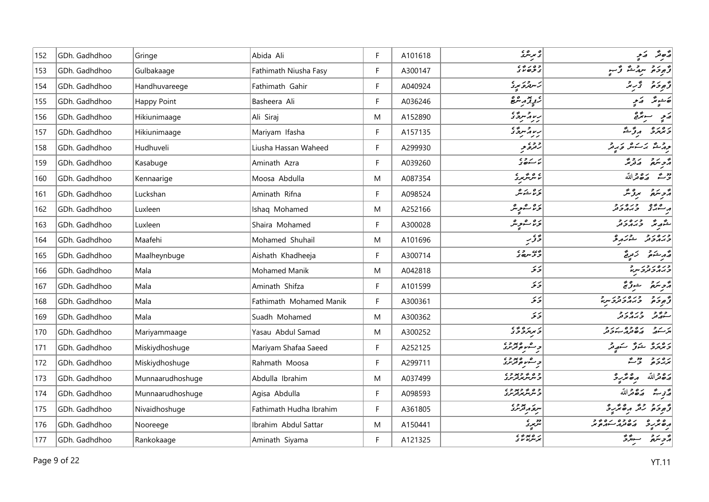| 152 | GDh. Gadhdhoo | Gringe           | Abida Ali               | F | A101618 | اء مرشد<br>--                       | و هې د کړې<br>د کارونو                                                         |
|-----|---------------|------------------|-------------------------|---|---------|-------------------------------------|--------------------------------------------------------------------------------|
| 153 | GDh. Gadhdhoo | Gulbakaage       | Fathimath Niusha Fasy   | F | A300147 | و ه ر پر پر<br>د <del>تر</del> ه مړ | ۇچەدۇ بىر ئىگە ۋېيا<br>ۋچەدە ئەر ئى                                            |
| 154 | GDh. Gadhdhoo | Handhuvareege    | Fathimath Gahir         | F | A040924 | ئەسە <i>تى كى</i> رى                |                                                                                |
| 155 | GDh. Gadhdhoo | Happy Point      | Basheera Ali            | F | A036246 | <i>ئار پژ</i> ېرىنى <u>ق</u>        | كالمشوش كالمح                                                                  |
| 156 | GDh. Gadhdhoo | Hikiunimaage     | Ali Siraj               | M | A152890 | .<br>העוליות בי                     | ړې سوبره<br>مو                                                                 |
| 157 | GDh. Gadhdhoo | Hikiunimaage     | Mariyam Ifasha          | F | A157135 | ת עול יישה<br>תוקי יישה             | رەرە مۇڭ                                                                       |
| 158 | GDh. Gadhdhoo | Hudhuveli        | Liusha Hassan Waheed    | F | A299930 | و و ،<br>رتوڅ مو                    | ورثش برسكر وبرقر                                                               |
| 159 | GDh. Gadhdhoo | Kasabuge         | Aminath Azra            | F | A039260 | ر ريە دې<br>ماسىھەي                 | أأدوسكم أروم                                                                   |
| 160 | GDh. Gadhdhoo | Kennaarige       | Moosa Abdulla           | M | A087354 | ې ۵ پېښ <i>ېږ</i><br>پا مېرمېنورۍ   | وحث مَ صَعْرَاللّه                                                             |
| 161 | GDh. Gadhdhoo | Luckshan         | Aminath Rifna           | F | A098524 | ىر بۇ يە ئەبىر                      | أأروبتهم برويتر                                                                |
| 162 | GDh. Gadhdhoo | Luxleen          | Ishaq Mohamed           | M | A252166 | ئۇنۇشمۇ يىتى                        | و ر ه ر و<br>تر پروتر<br>مەشقىق                                                |
| 163 | GDh. Gadhdhoo | Luxleen          | Shaira Mohamed          | F | A300028 | ىر <sub>ئە</sub> ر ئىمرىگە          | و رە ر د<br><i>د بر</i> گرىر<br>المشمر مثر                                     |
| 164 | GDh. Gadhdhoo | Maafehi          | Mohamed Shuhail         | M | A101696 | د تو به                             | ورەرو شەركىدۇ                                                                  |
| 165 | GDh. Gadhdhoo | Maalheynbuge     | Aishath Khadheeja       | F | A300714 | ری د د ،<br>ژنگ سر <del>ه</del> د   | كم من أن ترقيق                                                                 |
| 166 | GDh. Gadhdhoo | Mala             | Mohamed Manik           | M | A042818 | ىز                                  | 2 נ 2 נ 2 נ 2 נ<br>2 נ ג ג 2 تور 2 س                                           |
| 167 | GDh. Gadhdhoo | Mala             | Aminath Shifza          | F | A101599 | ۇتۇ                                 | أزويترة سنوريخ                                                                 |
| 168 | GDh. Gadhdhoo | Mala             | Fathimath Mohamed Manik | F | A300361 | ۇتى                                 | أقرار ورور در د                                                                |
| 169 | GDh. Gadhdhoo | Mala             | Suadh Mohamed           | M | A300362 | ۇتى                                 | و دو د وره د و<br>سوړند وبردوند                                                |
| 170 | GDh. Gadhdhoo | Mariyammaage     | Yasau Abdul Samad       | M | A300252 | ر بره و و.<br>د بربرو د د           | ره وه برر د<br>پره تر پر ښور تر<br>ہز کے قر                                    |
| 171 | GDh. Gadhdhoo | Miskiydhoshuge   | Mariyam Shafaa Saeed    | F | A252125 | د صوره پروه<br>د سوره تریرد         | رەرە خۇ خىرى                                                                   |
| 172 | GDh. Gadhdhoo | Miskiydhoshuge   | Rahmath Moosa           | F | A299711 | د مشر ه برو ،<br>بر مشر ه تر برد    | ره رو دور                                                                      |
| 173 | GDh. Gadhdhoo | Munnaarudhoshuge | Abdulla Ibrahim         | M | A037499 | و ه پ ويو و ،<br>و سرسرپرتر ري      | ەھ تررى<br>برە تراللە                                                          |
| 174 | GDh. Gadhdhoo | Munnaarudhoshuge | Agisa Abdulla           | F | A098593 | و ه پ ويو و ،<br>و سرسرپرترمری      | صَّتِی مِنْ صَفَّرَاللَّه                                                      |
| 175 | GDh. Gadhdhoo | Nivaidhoshuge    | Fathimath Hudha Ibrahim | F | A361805 | سرە مەدىرى<br>كەن                   | ژُودَه رَتَرُ مِهْتَرِدُ                                                       |
| 176 | GDh. Gadhdhoo | Nooreege         | Ibrahim Abdul Sattar    | M | A150441 | دد<br>مترسمي <sup>ی</sup>           | ەرھەترىر <sup>ە</sup><br>ره وه ره ۶ و<br>ه <b>ر</b> ه ترور سوړه <sub>ک</sub> ر |
| 177 | GDh. Gadhdhoo | Rankokaage       | Aminath Siyama          | F | A121325 | ر ەيدىر<br>بىرس ما ي                | $rac{1}{2}$                                                                    |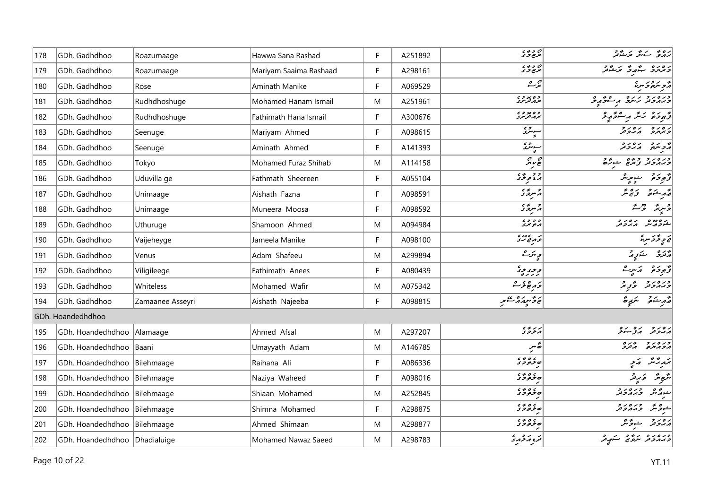| 178 | GDh. Gadhdhoo                  | Roazumaage       | Hawwa Sana Rashad      | F. | A251892 | ہ و د ء<br>موسم پر ی                        | رەپ كەش بۇلغۇش                                   |
|-----|--------------------------------|------------------|------------------------|----|---------|---------------------------------------------|--------------------------------------------------|
| 179 | GDh. Gadhdhoo                  | Roazumaage       | Mariyam Saaima Rashaad | F  | A298161 | ے و دے<br>تنزیع نژ ی                        | ر 20 در 2 در 20 در 20<br>3 بر بر 3 برگور بر شوند |
| 180 | GDh. Gadhdhoo                  | Rose             | Aminath Manike         | F. | A069529 | ترعه                                        | ە ئەجە ئىرىمۇ ئەسرىئا                            |
| 181 | GDh. Gadhdhoo                  | Rudhdhoshuge     | Mohamed Hanam Ismail   | M  | A251961 | و ه مو و ء<br>موهر توسوی                    | כנים ניכן ניכן בייכן בי                          |
| 182 | GDh. Gadhdhoo                  | Rudhdhoshuge     | Fathimath Hana Ismail  | F  | A300676 | و ه مو و د<br>موهر توسری                    | ژودۇ ئىگەر ھۇرو                                  |
| 183 | GDh. Gadhdhoo                  | Seenuge          | Mariyam Ahmed          | F  | A098615 | سويىنى                                      | נפנס נפנד                                        |
| 184 | GDh. Gadhdhoo                  | Seenuge          | Aminath Ahmed          | F. | A141393 | بەمبر                                       | أأوسكم أأردون                                    |
| 185 | GDh. Gadhdhoo                  | Tokyo            | Mohamed Furaz Shihab   | M  | A114158 | $\frac{1}{2}$                               | وره رو و و ه ه شورگاه                            |
| 186 | GDh. Gadhdhoo                  | Uduvilla ge      | Fathmath Sheereen      | F  | A055104 | د د په په<br>مرغون                          | و دو شهرس<br>گهوچه شهرس                          |
| 187 | GDh. Gadhdhoo                  | Unimaage         | Aishath Fazna          | F  | A098591 | وسرچری                                      | ۇرىشقى ئەھ                                       |
| 188 | GDh. Gadhdhoo                  | Unimaage         | Muneera Moosa          | F. | A098592 | رسوری                                       | د سرپر د د ح                                     |
| 189 | GDh. Gadhdhoo                  | Uthuruge         | Shamoon Ahmed          | M  | A094984 | د د د د<br>پره پرې                          | ر و دوه د بره بر و<br>شورها سر مربر و تر         |
| 190 | GDh. Gadhdhoo                  | Vaijeheyge       | Jameela Manike         | F  | A098100 | ر<br>  تو مربع رئ                           | ئے بر پڑ کو سرینا<br>م                           |
| 191 | GDh. Gadhdhoo                  | Venus            | Adam Shafeeu           | M  | A299894 | <sub>حو</sub> يئر ٿ                         | پر و شکور <sup>و</sup>                           |
| 192 | GDh. Gadhdhoo                  | Viligileege      | Fathimath Anees        | F  | A080439 | ا و و د و د ؟<br>د د د د ؟                  | أوالمحركر والمتبرات                              |
| 193 | GDh. Gadhdhoo                  | Whiteless        | Mohamed Wafir          | M  | A075342 | وَرِءٍ وَتَ                                 |                                                  |
| 194 | GDh. Gadhdhoo                  | Zamaanee Asseyri | Aishath Najeeba        | F  | A098815 | ئ <sub>ە</sub> ئۇ سرىر <sub>م</sub> رىشىمىر | وكرمشكم الكرمي                                   |
|     | GDh. Hoandedhdhoo              |                  |                        |    |         |                                             |                                                  |
| 195 | GDh. Hoandedhdhoo   Alamaage   |                  | Ahmed Afsal            | M  | A297207 | برژی                                        | أرەر دەر دەر                                     |
| 196 | GDh. Hoandedhdhoo   Baani      |                  | Umayyath Adam          | M  | A146785 | القمير                                      | כנסני שנם<br>הכהתם הבנב                          |
| 197 | GDh. Hoandedhdhoo   Bilehmaage |                  | Raihana Ali            | F  | A086336 | لو ځوه دی.<br>د کارو د                      | بزرائش الأمج                                     |
| 198 | GDh. Hoandedhdhoo   Bilehmaage |                  | Naziya Waheed          | F  | A098016 | ، ه ه ه ،<br>ح څه د د                       | شيء تركيب                                        |
| 199 | GDh. Hoandedhdhoo   Bilehmaage |                  | Shiaan Mohamed         | M  | A252845 | ړه د د ،<br>ح نو د د                        | أشوره مده وره د و                                |
| 200 | GDh. Hoandedhdhoo   Bilehmaage |                  | Shimna Mohamed         | F  | A298875 | ړه د د ،<br>ح نو د د                        | جوهر وره دو                                      |
| 201 | GDh. Hoandedhdhoo   Bilehmaage |                  | Ahmed Shimaan          | M  | A298877 | <br>  حو مو <del>خ</del> ر <sub>ک</sub>     | رەرد شوڭر                                        |
| 202 | GDh. Hoandedhdhoo Dhadialuige  |                  | Mohamed Nawaz Saeed    | M  | A298783 | ىر بە ئەخ <sub>رىم</sub> ئ                  | ورەرو روو روو                                    |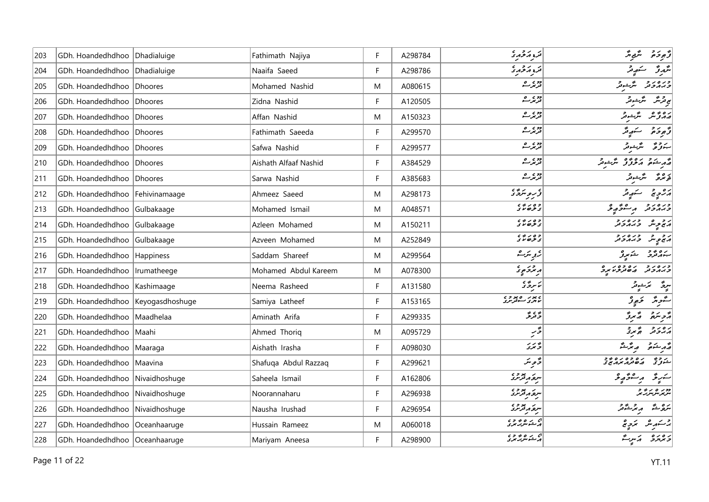| 203 | GDh. Hoandedhdhoo Dhadialuige       |                | Fathimath Najiya      | F  | A298784 | ىر ب <sub>و</sub> بر قرمر <sup>ى</sup>          | و مرد د<br>محمود می<br>متزوج وتر                                    |
|-----|-------------------------------------|----------------|-----------------------|----|---------|-------------------------------------------------|---------------------------------------------------------------------|
| 204 | GDh. Hoandedhdhoo Dhadialuige       |                | Naaifa Saeed          | F  | A298786 | ئىر بەر ئەھمەر ئ                                | شمرتر<br>متعر<br>سە پەتىر                                           |
| 205 | GDh. Hoandedhdhoo Dhoores           |                | Mohamed Nashid        | M  | A080615 | ود ۽ ه                                          | سرٌمشوترٌ<br>و ر ه ر و<br>و پر ډ و تر                               |
| 206 | GDh. Hoandedhdhoo Dhoores           |                | Zidna Nashid          | F  | A120505 | دد ۽ ه                                          | یگر شو تو<br>سگرشو تو<br>ىبې قرىتر                                  |
| 207 | GDh. Hoandedhdhoo Dhoores           |                | Affan Nashid          | M  | A150323 | ود ۽ ه                                          | رە بە ھ<br>مەم تۈ س<br>سُرُشوترُ                                    |
| 208 | GDh. Hoandedhdhoo                   | <b>Dhoores</b> | Fathimath Saeeda      | F  | A299570 | دد ۽ ه                                          | ۇ بور پر<br>سە بەر تە                                               |
| 209 | GDh. Hoandedhdhoo Dhoores           |                | Safwa Nashid          | F. | A299577 | دد ۽ ه<br>تريز ڪ                                | سكوفر المترك وتر                                                    |
| 210 | GDh. Hoandedhdhoo                   | Dhoores        | Aishath Alfaaf Nashid | F  | A384529 | ود ۽ ه                                          | و المراد و دەۋە ھەردىنى بىر                                         |
| 211 | GDh. Hoandedhdhoo                   | Dhoores        | Sarwa Nashid          | F. | A385683 | ود ۽ ه                                          | رەپ س <sup>ى</sup> رىشوتر                                           |
| 212 | GDh. Hoandedhdhoo Fehivinamaage     |                | Ahmeez Saeed          | M  | A298173 | ا در مروء<br>الربر مرکز د                       | <br> پرر <sub>و مح</sub><br>سەر بىر                                 |
| 213 | GDh. Hoandedhdhoo Gulbakaage        |                | Mohamed Ismail        | M  | A048571 | و ه ر پر پ<br>د <del>تر</del> ه تر د            | כנסגב גם ביב                                                        |
| 214 | GDh. Hoandedhdhoo Gulbakaage        |                | Azleen Mohamed        | M  | A150211 | و و ر پر ۽<br>ي <del>تر</del> ه ما <sub>ک</sub> | و ره ر و<br><i>و ټ</i> ه و تر<br>ړ تړ په شر                         |
| 215 | GDh. Hoandedhdhoo Gulbakaage        |                | Azveen Mohamed        | M  | A252849 | و ه ر پر پر<br>د <del>تر</del> ن مر             | ېر خ <sub>و</sub> متر<br>مو <sub>ځ</sub><br>و ره ر د<br>تر پر تر تر |
| 216 | GDh. Hoandedhdhoo Happiness         |                | Saddam Shareef        | M  | A299564 | ع بو پر مرت <sub>ق</sub>                        | رەپرو شەرو                                                          |
| 217 | GDh. Hoandedhdhoo   Irumatheege     |                | Mohamed Abdul Kareem  | M  | A078300 | ېر پر دې<br>پر پر دې                            | כנסני נסיפטנים                                                      |
| 218 | GDh. Hoandedhdhoo   Kashimaage      |                | Neema Rasheed         | F. | A131580 | ر<br>ما مورد د                                  | سرچ - مرکسونر<br>پ                                                  |
| 219 | GDh. Hoandedhdhoo   Keyogasdhoshuge |                | Samiya Latheef        | F  | A153165 | ه پیو بر ۱۵ پیو و په<br>ما دري سسوفرمرۍ         | شوپژ<br>ځېږو                                                        |
| 220 | GDh. Hoandedhdhoo   Maadhelaa       |                | Aminath Arifa         | F. | A299335 | تە ئەرگە<br><b>5</b> تىرىگ                      | و څخه سره<br>ەر بور                                                 |
| 221 | GDh. Hoandedhdhoo Maahi             |                | Ahmed Thorig          | M  | A095729 | و<br>په ر                                       | ر ەر د<br>يږ په د<br>جو مرتز                                        |
| 222 | GDh. Hoandedhdhoo   Maaraga         |                | Aishath Irasha        | F. | A098030 | پە بەر<br>15 ئىرى                               | پ <sup>و</sup> مرشو ه<br>مرم<br>ەپەتىشە                             |
| 223 | GDh. Hoandedhdhoo   Maavina         |                | Shafuqa Abdul Razzaq  | F  | A299621 | څو پئر                                          | ג ם כ ם ג ם 4 ב<br>1. כם בקו <i>ת הד</i> יש<br>ے ویچ<br>حقوقی       |
| 224 | GDh. Hoandedhdhoo Nivaidhoshuge     |                | Saheela Ismail        | F  | A162806 | سرعه مرقر تری<br>مرغ مرقر تری                   | بر شۇرۇ<br>سەرقە                                                    |
| 225 | GDh. Hoandedhdhoo Nivaidhoshuge     |                | Noorannaharu          | F  | A296938 | سرچە جەم 2<br>سرچە سرچىرى                       | دد بر ه بر بر د<br>سرپر سرسربر پر                                   |
| 226 | GDh. Hoandedhdhoo Nivaidhoshuge     |                | Nausha Irushad        | F  | A296954 | سرە مەترىرى<br>سىرە ئىرىرى                      | سره شدَّ<br>ەر بۇيىشەتر                                             |
| 227 | GDh. Hoandedhdhoo   Oceanhaaruge    |                | Hussain Rameez        | M  | A060018 | م در ه و و ،<br>پر شوسرتر بری                   | جاسكور مكرج فح                                                      |
| 228 | GDh. Hoandedhdhoo   Oceanhaaruge    |                | Mariyam Aneesa        | F. | A298900 | م در ه بر و ،<br>د شوسرتر بر <sub>ک</sub>       | ويوره بزبرگ                                                         |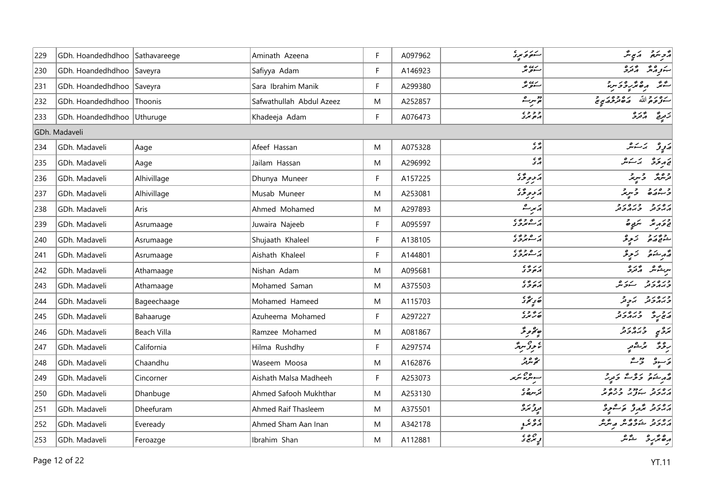| 229 | GDh. Hoandedhdhoo Sathavareege |                    | Aminath Azeena           | F           | A097962 | ر بر بر بر پر<br>ستهور تعری   | أأرمن أأستمج متني                                                                                     |
|-----|--------------------------------|--------------------|--------------------------|-------------|---------|-------------------------------|-------------------------------------------------------------------------------------------------------|
| 230 | GDh. Hoandedhdhoo Saveyra      |                    | Safiyya Adam             | F           | A146923 | ر ، ، پ<br>سوء بر             | په وړه په پره                                                                                         |
| 231 | GDh. Hoandedhdhoo Saveyra      |                    | Sara Ibrahim Manik       | F           | A299380 | ر ، ، »<br>سنوگانو            | أشمر معرود مرد                                                                                        |
| 232 | GDh. Hoandedhdhoo Thoonis      |                    | Safwathullah Abdul Azeez | M           | A252857 | دوسرے<br>                     | رەر داللە بەدەر بەد                                                                                   |
| 233 | GDh. Hoandedhdhoo Uthuruge     |                    | Khadeeja Adam            | F           | A076473 | د د د د<br>پره پرې            | زَمرِيحَ كَمُ تَرَوُّ                                                                                 |
|     | GDh. Madaveli                  |                    |                          |             |         |                               |                                                                                                       |
| 234 | GDh. Madaveli                  | Aage               | Afeef Hassan             | ${\sf M}$   | A075328 | پر<br>مر                      | مَرُوٍ بِمَسْتَمَرَّ                                                                                  |
| 235 | GDh. Madaveli                  | Aage               | Jailam Hassan            | ${\sf M}$   | A296992 | پر ج<br>مرگ                   | غږځرې پرسټر                                                                                           |
| 236 | GDh. Madaveli                  | Alhivillage        | Dhunya Muneer            | F           | A157225 | د رو وی<br>د رو وی            | دەپر دېرىر                                                                                            |
| 237 | GDh. Madaveli                  | Alhivillage        | Musab Muneer             | M           | A253081 | ر<br>د نوعونوی                | $\frac{1}{2}$                                                                                         |
| 238 | GDh. Madaveli                  | Aris               | Ahmed Mohamed            | M           | A297893 | رئىرىشە                       | ر ور د در در د<br>مدرو د برمار                                                                        |
| 239 | GDh. Madaveli                  | Asrumaage          | Juwaira Najeeb           | F           | A095597 | ر ۱۵۶۵<br>مرسومری             | في حكم من مكتبة حتى تحقيق بمن المحتاج السياسة المناسية المناسية السياسية المناسية السياسية المناسية ا |
| 240 | GDh. Madaveli                  | Asrumaage          | Shujaath Khaleel         | F           | A138105 | ر ۱۵۶۵ و<br>مرگ مرد د         | شەرق ئەرق                                                                                             |
| 241 | GDh. Madaveli                  | Asrumaage          | Aishath Khaleel          | $\mathsf F$ | A144801 | بر ۱۵۶۵ و.<br>مرگسونور        | أشركت تاريخ                                                                                           |
| 242 | GDh. Madaveli                  | Athamaage          | Nishan Adam              | ${\sf M}$   | A095681 | ر ر د »<br>پره <del>ر</del> د | سرينش شهره                                                                                            |
| 243 | GDh. Madaveli                  | Athamaage          | Mohamed Saman            | ${\sf M}$   | A375503 | ر ر د »<br>پره <del>و</del> و | و ره ر و<br>  <del>و</del> بر پر و تر<br>سەئەتىر                                                      |
| 244 | GDh. Madaveli                  | Bageechaage        | Mohamed Hameed           | M           | A115703 | <br>  ته په نو د              | ورەر بەر بە                                                                                           |
| 245 | GDh. Madaveli                  | Bahaaruge          | Azuheema Mohamed         | $\mathsf F$ | A297227 | ر پر د ،<br>حر تر د           |                                                                                                       |
| 246 | GDh. Madaveli                  | <b>Beach Villa</b> | Ramzee Mohamed           | M           | A081867 | ھی تھر محّہ                   | بره دره در د                                                                                          |
| 247 | GDh. Madaveli                  | California         | Hilma Rushdhy            | F           | A297574 | تأود عبد                      | روی پرشور<br>روی برشور<br>تر وی                                                                       |
| 248 | GDh. Madaveli                  | Chaandhu           | Waseem Moosa             | M           | A162876 | پڑ ہ د<br>کارمنز تر           |                                                                                                       |
| 249 | GDh. Madaveli                  | Cincorner          | Aishath Malsa Madheeh    | $\mathsf F$ | A253073 | سومتر <i>مذہب</i> ر           | أوالمن والملح والمحافيات                                                                              |
| 250 | GDh. Madaveli                  | Dhanbuge           | Ahmed Safooh Mukhthar    | ${\sf M}$   | A253130 | ترسره ی                       | ر ه ر د د ر د د د د و د<br>مدروند سوژبر و زموند                                                       |
| 251 | GDh. Madaveli                  | Dheefuram          | Ahmed Raif Thasleem      | M           | A375501 | د و د ه                       | أرورو محمرو وكسورة                                                                                    |
| 252 | GDh. Madaveli                  | Eveready           | Ahmed Sham Aan Inan      | M           | A342178 | ده مړي <sub>د</sub>           | رور و روده و شره                                                                                      |
| 253 | GDh. Madaveli                  | Feroazge           | Ibrahim Shan             | M           | A112881 | وپرېږ                         |                                                                                                       |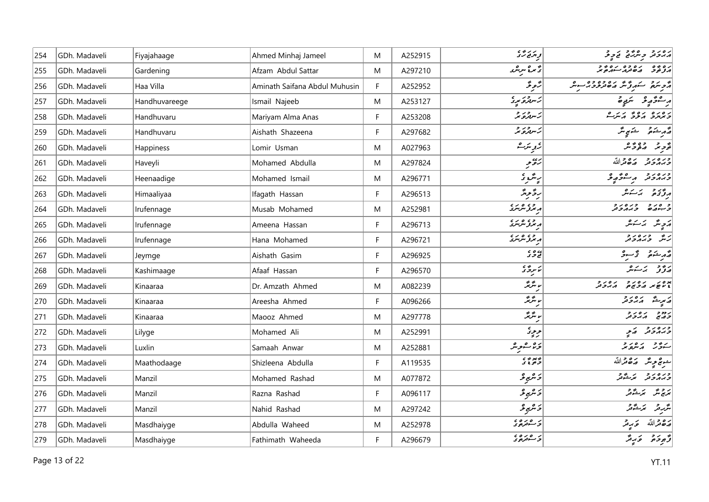| 254 | GDh. Madaveli | Fiyajahaage   | Ahmed Minhaj Jameel           | M  | A252915 | د بر د ه                                  | أرور وبررته في و                                                                                 |
|-----|---------------|---------------|-------------------------------|----|---------|-------------------------------------------|--------------------------------------------------------------------------------------------------|
| 255 | GDh. Madaveli | Gardening     | Afzam Abdul Sattar            | M  | A297210 | د سمع سر یندید                            |                                                                                                  |
| 256 | GDh. Madaveli | Haa Villa     | Aminath Saifana Abdul Muhusin | F  | A252952 | رحوءً                                     | و دو سورگیگر ده ده دو به                                                                         |
| 257 | GDh. Madaveli | Handhuvareege | Ismail Najeeb                 | M  | A253127 | ئەس <i>قرى</i> ئېرىگە                     | و څوگو څو شوه                                                                                    |
| 258 | GDh. Madaveli | Handhuvaru    | Mariyam Alma Anas             | F  | A253208 | ر سرچر چ                                  | ג פגם גם זיגים                                                                                   |
| 259 | GDh. Madaveli | Handhuvaru    | Aishath Shazeena              | F  | A297682 | ر سرچ ر حر<br>تر سرچر <i>ج</i> ر          | أَمَّ مِنْ شَوْمٍ مَّتَ مِنَّزَ                                                                  |
| 260 | GDh. Madaveli | Happiness     | Lomir Usman                   | M  | A027963 | ر <sub>وپه م</sub> رت <sub></sub>         | $\begin{bmatrix} 0 & 0 & 0 & 0 \\ 0 & 0 & 0 & 0 \\ 0 & 0 & 0 & 0 \\ 0 & 0 & 0 & 0 \end{bmatrix}$ |
| 261 | GDh. Madaveli | Haveyli       | Mohamed Abdulla               | M  | A297824 | ریج محر                                   | وره رو ده دالله                                                                                  |
| 262 | GDh. Madaveli | Heenaadige    | Mohamed Ismail                | M  | A296771 | ر م <sup>ی</sup> گرو ئ <sup>ج</sup>       | ورەرو رەۋرو                                                                                      |
| 263 | GDh. Madaveli | Himaaliyaa    | Ifagath Hassan                | F  | A296513 | رۇپەر                                     | أمرقرة والمرسكين                                                                                 |
| 264 | GDh. Madaveli | Irufennage    | Musab Mohamed                 | M  | A252981 | ە بىر ئە ھەر ي                            | כ סניכן כנסניכ<br>קהינגים וכמביבת                                                                |
| 265 | GDh. Madaveli | Irufennage    | Ameena Hassan                 | F  | A296713 | پر پر پر پر پر                            | أرَوِيتَر بَرَكَيْتِر                                                                            |
| 266 | GDh. Madaveli | Irufennage    | Hana Mohamed                  | F  | A296721 | ارجوعيت                                   | ژنگر او ژوه رو                                                                                   |
| 267 | GDh. Madaveli | Jeymge        | Aishath Gasim                 | F  | A296925 | ړے و بح<br>فع <del>ت</del> ر <sub>ک</sub> | أقهر يشكاه المحاسباني                                                                            |
| 268 | GDh. Madaveli | Kashimaage    | Afaaf Hassan                  | F  | A296570 | ر<br>ئەبرىرى                              | رۇق بەسەش                                                                                        |
| 269 | GDh. Madaveli | Kinaaraa      | Dr. Amzath Ahmed              | M  | A082239 | اريقيقه                                   | אסג גסגל גסגל<br>גיש הכאפ הגלע                                                                   |
| 270 | GDh. Madaveli | Kinaaraa      | Areesha Ahmed                 | F  | A096266 | ىرىترىتر                                  | پر پیش پره رو                                                                                    |
| 271 | GDh. Madaveli | Kinaaraa      | Maooz Ahmed                   | M  | A297778 | ر متریخه                                  | בחי הפיב                                                                                         |
| 272 | GDh. Madaveli | Lilyge        | Mohamed Ali                   | M  | A252991 | مومودگا<br>مربو                           | وره رو کرمي                                                                                      |
| 273 | GDh. Madaveli | Luxlin        | Samaah Anwar                  | M  | A252881 | لخره شوبثر                                | $7.27$ $7.5$                                                                                     |
| 274 | GDh. Madaveli | Maathodaage   | Shizleena Abdulla             | F  | A119535 | پر پر پر<br>تره و و                       | حو <b>ج م</b> حٍى <i>مَّد ضَ</i> قَائِدَة                                                        |
| 275 | GDh. Madaveli | Manzil        | Mohamed Rashad                | M  | A077872 | ئەشىرى                                    | ورەر دىر ئەر<br><i>جەم</i> ەر ئىمىشەر                                                            |
| 276 | GDh. Madaveli | Manzil        | Razna Rashad                  | F. | A096117 | ئەشرىر ۋ                                  | ىرچە ئەسكەتل                                                                                     |
| 277 | GDh. Madaveli | Manzil        | Nahid Rashad                  | M  | A297242 | ئەشىر ۋ                                   | مُرْرِ مَرْ مُرْ مُرْدَ مَرْ                                                                     |
| 278 | GDh. Madaveli | Masdhaiyge    | Abdulla Waheed                | M  | A252978 | ر ص ره د<br>تر سوتر <i>ه</i> د            | برە دالله كەرىم                                                                                  |
| 279 | GDh. Madaveli | Masdhaiyge    | Fathimath Waheeda             | F. | A296679 | ر ص د ه ،<br>تر سوتره د                   | وٌجوحَ حَدِيثَر                                                                                  |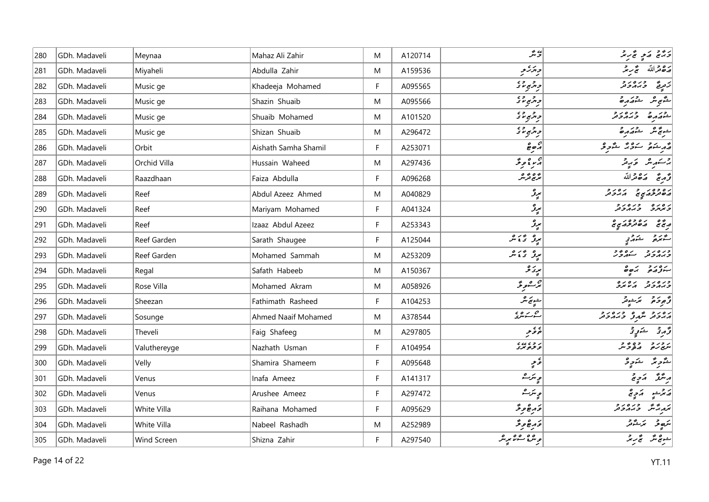| 280 | GDh. Madaveli | Meynaa       | Mahaz Ali Zahir      | M  | A120714 | پی میٹر                                     | دَيْنَجْ مَهْجٍ لِجُرْ بِمُرْ                                                                        |
|-----|---------------|--------------|----------------------|----|---------|---------------------------------------------|------------------------------------------------------------------------------------------------------|
| 281 | GDh. Madaveli | Miyaheli     | Abdulla Zahir        | M  | A159536 | جە ئەمجىر                                   | أرة قرالله يحرير                                                                                     |
| 282 | GDh. Madaveli | Music ge     | Khadeeja Mohamed     | F  | A095565 | <br>  تر پر تر د ؟<br>                      | تزميع وبرورد                                                                                         |
| 283 | GDh. Madaveli | Music ge     | Shazin Shuaib        | M  | A095566 | د د جمع ړي<br>بر                            | شور شهره                                                                                             |
| 284 | GDh. Madaveli | Music ge     | Shuaib Mohamed       | M  | A101520 | د د جمهوري<br>مرکب د ک                      | و ره ر و<br>تر پر ژنر<br>شەھەرە                                                                      |
| 285 | GDh. Madaveli | Music ge     | Shizan Shuaib        | M  | A296472 | د د پر د ،<br>د تر پر پر                    | شونج س شوره و                                                                                        |
| 286 | GDh. Madaveli | Orbit        | Aishath Samha Shamil | F  | A253071 | $\stackrel{o}{e} \stackrel{o}{\sim}$        | وأوشره سوور شورو                                                                                     |
| 287 | GDh. Madaveli | Orchid Villa | Hussain Waheed       | M  | A297436 | ەر بە ئ <sub>ەر</sub> ئە                    | رحم المراكب المحمد وتراكبه                                                                           |
| 288 | GDh. Madaveli | Raazdhaan    | Faiza Abdulla        | F  | A096268 | پر ہ پر م<br>بر بع قریبر                    | وَمِعَ مَصْعَداللّه                                                                                  |
| 289 | GDh. Madaveli | Reef         | Abdul Azeez Ahmed    | M  | A040829 | ىرگە                                        | גפכפי כ- גפנב<br>הסתבה <sub>ב</sub> שר הגבת                                                          |
| 290 | GDh. Madaveli | Reef         | Mariyam Mohamed      | F  | A041324 | ىمرگە                                       |                                                                                                      |
| 291 | GDh. Madaveli | Reef         | Izaaz Abdul Azeez    | F. | A253343 | مرگر                                        | ر ده ده ده ده کم                                                                                     |
| 292 | GDh. Madaveli | Reef Garden  | Sarath Shaugee       | F  | A125044 | پرو ځۍ ته                                   | كم يدد في المحمد المحمد المحمد المحمد المحمد المحمد المحمد المحمد المحمد المحمد المحمد المحمد المحمد |
| 293 | GDh. Madaveli | Reef Garden  | Mohamed Sammah       | M  | A253209 | ابرو محكم م                                 | ورەرو رەپور<br><i>دىد</i> رونر سەر <i>ور</i>                                                         |
| 294 | GDh. Madaveli | Regal        | Safath Habeeb        | M  | A150367 | ىرىمى<br>ئە                                 | بەدرە بەھ                                                                                            |
| 295 | GDh. Madaveli | Rose Villa   | Mohamed Akram        | M  | A058926 | ترىشوقر                                     | כנסנכ נסנס<br>כגמכת העיב                                                                             |
| 296 | GDh. Madaveli | Sheezan      | Fathimath Rasheed    | F  | A104253 | شەپچ مىگر                                   | أقرموخرة ستمشيقه                                                                                     |
| 297 | GDh. Madaveli | Sosunge      | Ahmed Naaif Mohamed  | M  | A378544 | <u>م</u> مەسىرى                             | رور و شمرو وره د و                                                                                   |
| 298 | GDh. Madaveli | Theveli      | Faig Shafeeg         | M  | A297805 | ءء                                          | وَّدِيَّ شَوَرٍ مِّ                                                                                  |
| 299 | GDh. Madaveli | Valuthereyge | Nazhath Usman        | F  | A104954 | ر و ، <u>،،</u> ،<br>و <del>و</del> بو بو . | ر ور و وه و و د                                                                                      |
| 300 | GDh. Madaveli | Velly        | Shamira Shameem      | F  | A095648 | ءً م                                        | شَرْحِ بَرْ سَوَرِدْ                                                                                 |
| 301 | GDh. Madaveli | Venus        | Inafa Ameez          | F  | A141317 | امٍ يَرَبَّهِ                               |                                                                                                      |
| 302 | GDh. Madaveli | Venus        | Arushee Ameez        | F  | A297472 | <sub>عب</sub> ِ سَرَتْہ                     |                                                                                                      |
| 303 | GDh. Madaveli | White Villa  | Raihana Mohamed      | F  | A095629 | ر<br><i>و</i> رهور                          | ر شهر وره د و<br>مرد شر و روون                                                                       |
| 304 | GDh. Madaveli | White Villa  | Nabeel Rashadh       | M  | A252989 | وَرِءُورَّ                                  | سَهِ فَرَ سَنَدْشَ                                                                                   |
| 305 | GDh. Madaveli | Wind Screen  | Shizna Zahir         | F  | A297540 | <sub>عر</sub> مثن <sup>ی مش</sup> تر میرمتر | شويج مثر سمج برمز                                                                                    |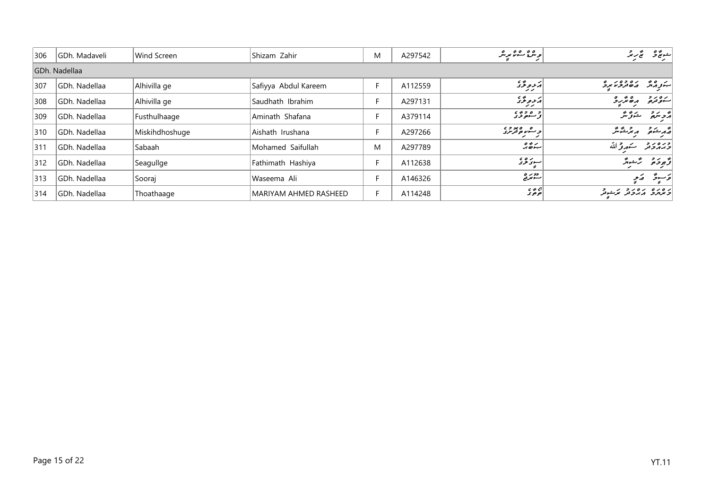| 306    | <b>IGDh. Madaveli</b> | Wind Screen    | Shizam Zahir                 | M | A297542 | وېږي شه ته برېتر                              | سچ ريخه<br> شونج و       |
|--------|-----------------------|----------------|------------------------------|---|---------|-----------------------------------------------|--------------------------|
|        | GDh. Nadellaa         |                |                              |   |         |                                               |                          |
| 307    | GDh. Nadellaa         | Alhivilla ge   | Safiyya Abdul Kareem         |   | A112559 | پر رو و د                                     | ب ده ده ده ده ده ده و    |
| 308    | <b>GDh. Nadellaa</b>  | Alhivilla ge   | Saudhath Ibrahim             |   | A297131 | پر رو یژ ی                                    | رەدرو مەھرىر             |
| 309    | GDh. Nadellaa         | Fusthulhaage   | Aminath Shafana              |   | A379114 | د د د د د ،<br>توسعه نو د                     | د سره شوگس               |
| 310    | GDh. Nadellaa         | Miskihdhoshuge | Aishath Irushana             |   | A297266 | د ره به ۲۶ و <sup>ی</sup><br>د سه به موفر برد | أقدم شوق وتر شرقس        |
| 311    | GDh. Nadellaa         | Sabaah         | Mohamed Saifullah            | M | A297789 | 0 4 1<br>سبون بر                              | دبره بر دبر دبر دبر الله |
| $ 312$ | <b>GDh. Nadellaa</b>  | Seagullge      | Fathimath Hashiya            |   | A112638 | $\epsilon$ o $\epsilon$<br>رسون مزی           | كوجوجو المرشوش           |
| 313    | <b>GDh. Nadellaa</b>  | Sooraj         | Waseema Ali                  |   | A146326 | 0 / 22<br>مستوموح                             | كوسيوش وكيعي             |
| 314    | IGDh. Nadellaa        | Thoathaage     | <b>MARIYAM AHMED RASHEED</b> | F | A114248 | 6 40<br>مومو ی                                | د ۱۵ د ۱۵ د و مرتبه و    |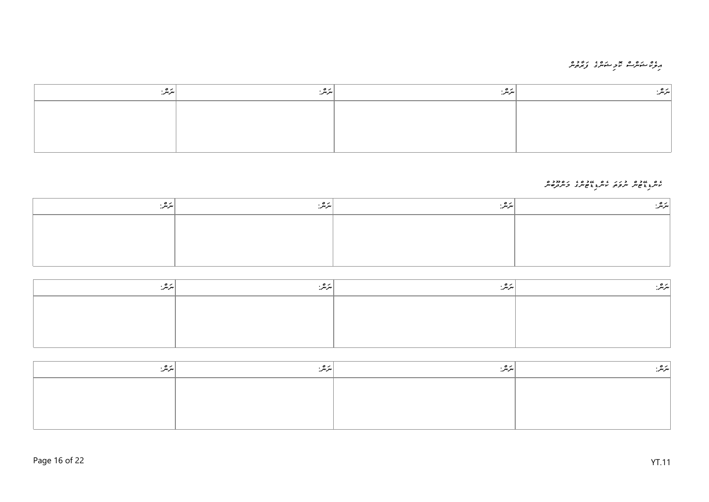## *w7qAn8m? sCw7mRo>u; wEw7mRw;sBo<*

| ' مرمر | 'يئرىثر: |
|--------|----------|
|        |          |
|        |          |
|        |          |

## *w7q9r@w7m> sCw7qHtFoFw7s; mAm=q7 w7qHtFoFw7s;*

| يئرمىش: | $^{\circ}$<br>. سر سر<br>$\cdot$ | $\circ$ $\sim$<br>-- | يئرمثر |
|---------|----------------------------------|----------------------|--------|
|         |                                  |                      |        |
|         |                                  |                      |        |
|         |                                  |                      |        |

| انترنثر: | $^{\circ}$ | يبرهر | $^{\circ}$<br>سرسر |
|----------|------------|-------|--------------------|
|          |            |       |                    |
|          |            |       |                    |
|          |            |       |                    |

| ىرتىر: | 。<br>سر سر | .,<br>مرسر |
|--------|------------|------------|
|        |            |            |
|        |            |            |
|        |            |            |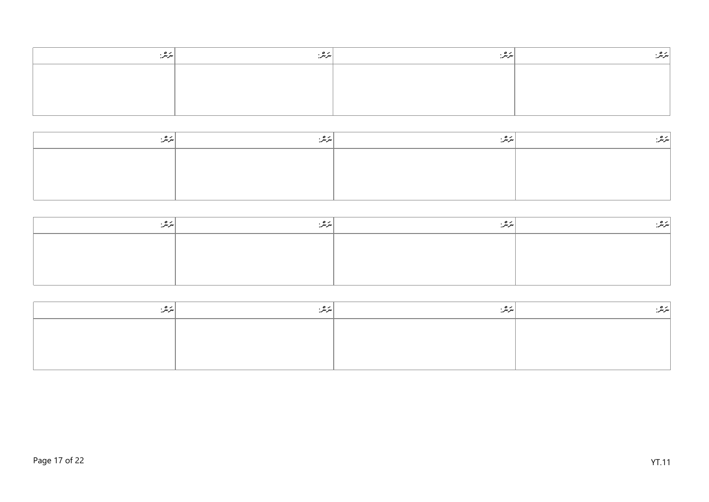| يره. | ο. | ا ير ه |  |
|------|----|--------|--|
|      |    |        |  |
|      |    |        |  |
|      |    |        |  |

| <sup>.</sup> سرسر. |  |
|--------------------|--|
|                    |  |
|                    |  |
|                    |  |

| ىئرىتر. | $\sim$ | ا بر هه. | لىرىش |
|---------|--------|----------|-------|
|         |        |          |       |
|         |        |          |       |
|         |        |          |       |

| 。<br>مرس. | $\overline{\phantom{a}}$<br>مر سر | يتريثر |
|-----------|-----------------------------------|--------|
|           |                                   |        |
|           |                                   |        |
|           |                                   |        |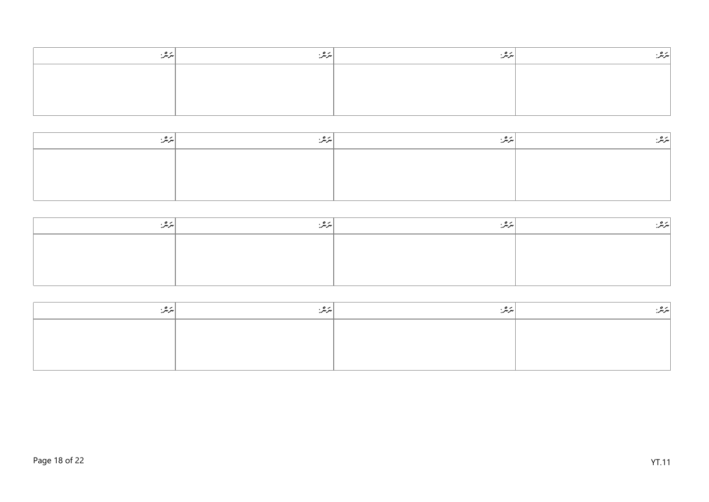| ير هو . | $\overline{\phantom{a}}$ | يرمر | اير هنه. |
|---------|--------------------------|------|----------|
|         |                          |      |          |
|         |                          |      |          |
|         |                          |      |          |

| ىر ھ | $\circ$ $\sim$<br>ا سرسر. | $\circ$ $\sim$<br>' سرسر . | o <i>~</i><br>سرسر. |
|------|---------------------------|----------------------------|---------------------|
|      |                           |                            |                     |
|      |                           |                            |                     |
|      |                           |                            |                     |

| نتزيتر به | 。 | 。<br>سرسر. | o <i>~</i> |
|-----------|---|------------|------------|
|           |   |            |            |
|           |   |            |            |
|           |   |            |            |

|  | . ه |
|--|-----|
|  |     |
|  |     |
|  |     |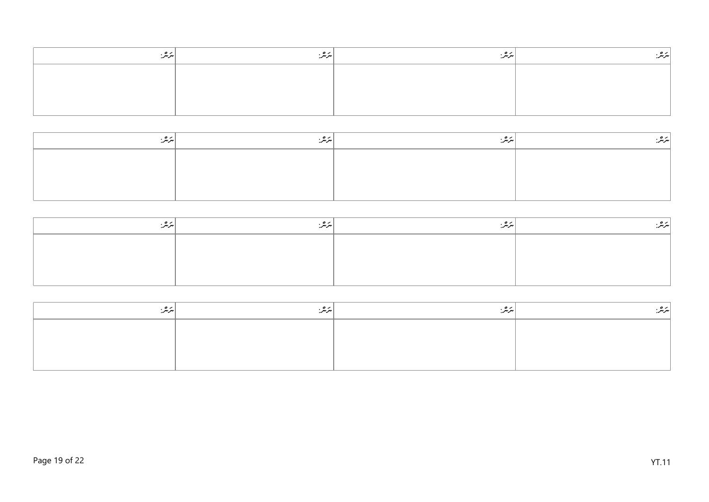| ير هو . | $\overline{\phantom{a}}$ | يرمر | اير هنه. |
|---------|--------------------------|------|----------|
|         |                          |      |          |
|         |                          |      |          |
|         |                          |      |          |

| ىر تىر: | $\circ$ $\sim$<br>" سرسر . | يبرحه | o . |
|---------|----------------------------|-------|-----|
|         |                            |       |     |
|         |                            |       |     |
|         |                            |       |     |

| 'تترنثر: | . .<br>يسمونس. |  |
|----------|----------------|--|
|          |                |  |
|          |                |  |
|          |                |  |

|  | . ه |
|--|-----|
|  |     |
|  |     |
|  |     |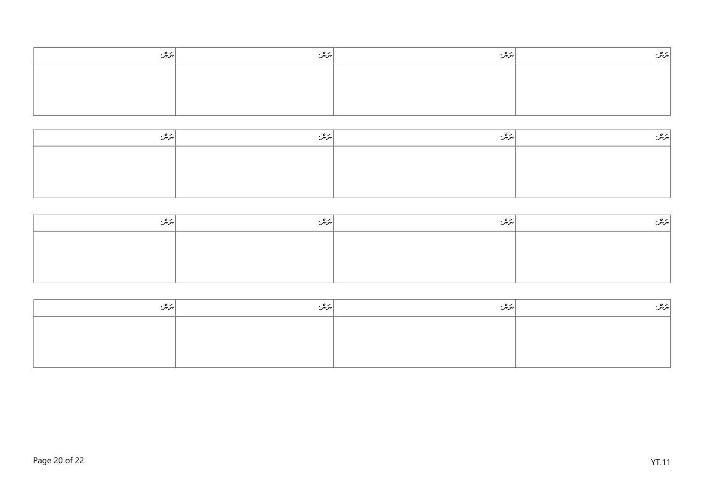| $\cdot$ | ο. | $\frac{\circ}{\cdot}$ | $\sim$<br>سرسر |
|---------|----|-----------------------|----------------|
|         |    |                       |                |
|         |    |                       |                |
|         |    |                       |                |

| ايرعر: | ر ه<br>. . |  |
|--------|------------|--|
|        |            |  |
|        |            |  |
|        |            |  |

| بر ه | 。 | $\sim$<br>َ سومس. |  |
|------|---|-------------------|--|
|      |   |                   |  |
|      |   |                   |  |
|      |   |                   |  |

| 。<br>. س | ىرىىر |  |
|----------|-------|--|
|          |       |  |
|          |       |  |
|          |       |  |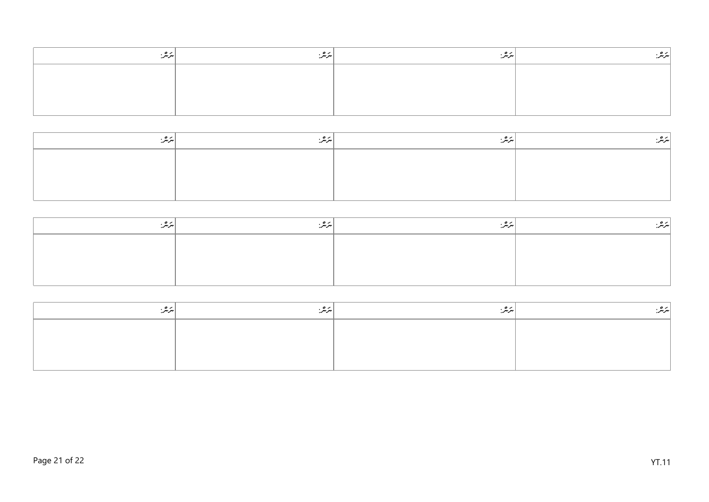| ير هو . | $\overline{\phantom{a}}$ | يرمر | اير هنه. |
|---------|--------------------------|------|----------|
|         |                          |      |          |
|         |                          |      |          |
|         |                          |      |          |

| ىر تىر: | $\circ$ $\sim$<br>" سرسر . | يبرحه | o . |
|---------|----------------------------|-------|-----|
|         |                            |       |     |
|         |                            |       |     |
|         |                            |       |     |

| لترتكر: | الترنثر: | ابر همه: | الترنثر: |
|---------|----------|----------|----------|
|         |          |          |          |
|         |          |          |          |
|         |          |          |          |

|  | . ه |
|--|-----|
|  |     |
|  |     |
|  |     |